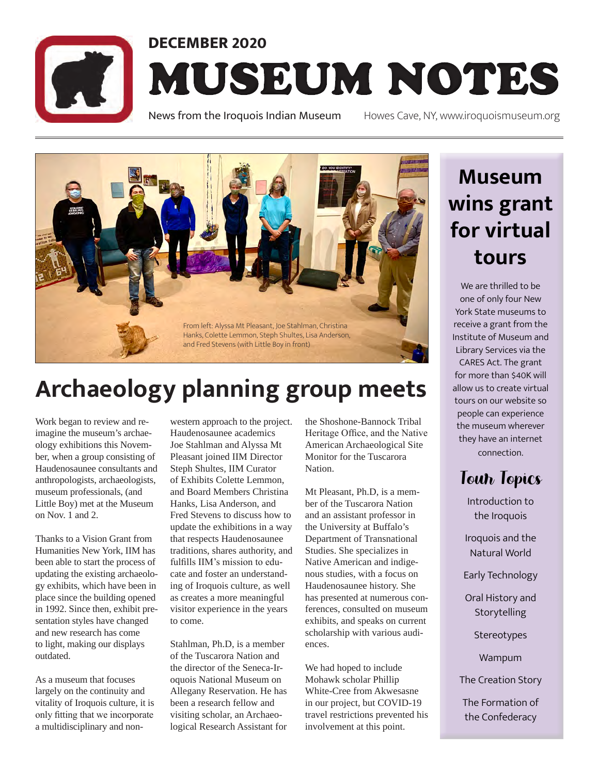

# **DECEMBER 2020** MUSEUM NOTES

News from the Iroquois Indian Museum Howes Cave, NY, www.iroquoismuseum.org



# **Archaeology planning group meets**

Work began to review and reimagine the museum's archaeology exhibitions this November, when a group consisting of Haudenosaunee consultants and anthropologists, archaeologists, museum professionals, (and Little Boy) met at the Museum on Nov. 1 and 2.

Thanks to a Vision Grant from Humanities New York, IIM has been able to start the process of updating the existing archaeology exhibits, which have been in place since the building opened in 1992. Since then, exhibit presentation styles have changed and new research has come to light, making our displays outdated.

As a museum that focuses largely on the continuity and vitality of Iroquois culture, it is only fitting that we incorporate a multidisciplinary and non-

western approach to the project. Haudenosaunee academics Joe Stahlman and Alyssa Mt Pleasant joined IIM Director Steph Shultes, IIM Curator of Exhibits Colette Lemmon, and Board Members Christina Hanks, Lisa Anderson, and Fred Stevens to discuss how to update the exhibitions in a way that respects Haudenosaunee traditions, shares authority, and fulfills IIM's mission to educate and foster an understanding of Iroquois culture, as well as creates a more meaningful visitor experience in the years to come.

Stahlman, Ph.D, is a member of the Tuscarora Nation and the director of the Seneca-Iroquois National Museum on Allegany Reservation. He has been a research fellow and visiting scholar, an Archaeological Research Assistant for

the Shoshone-Bannock Tribal Heritage Office, and the Native American Archaeological Site Monitor for the Tuscarora **Nation** 

Mt Pleasant, Ph.D, is a member of the Tuscarora Nation and an assistant professor in the University at Buffalo's Department of Transnational Studies. She specializes in Native American and indigenous studies, with a focus on Haudenosaunee history. She has presented at numerous conferences, consulted on museum exhibits, and speaks on current scholarship with various audiences.

We had hoped to include Mohawk scholar Phillip White-Cree from Akwesasne in our project, but COVID-19 travel restrictions prevented his involvement at this point.

# **Museum wins grant for virtual tours**

We are thrilled to be one of only four New York State museums to receive a grant from the Institute of Museum and Library Services via the CARES Act. The grant for more than \$40K will allow us to create virtual tours on our website so people can experience the museum wherever they have an internet connection.

# Tour Topics

Introduction to the Iroquois

Iroquois and the Natural World

Early Technology

Oral History and Storytelling

**Stereotypes** 

Wampum

The Creation Story

The Formation of the Confederacy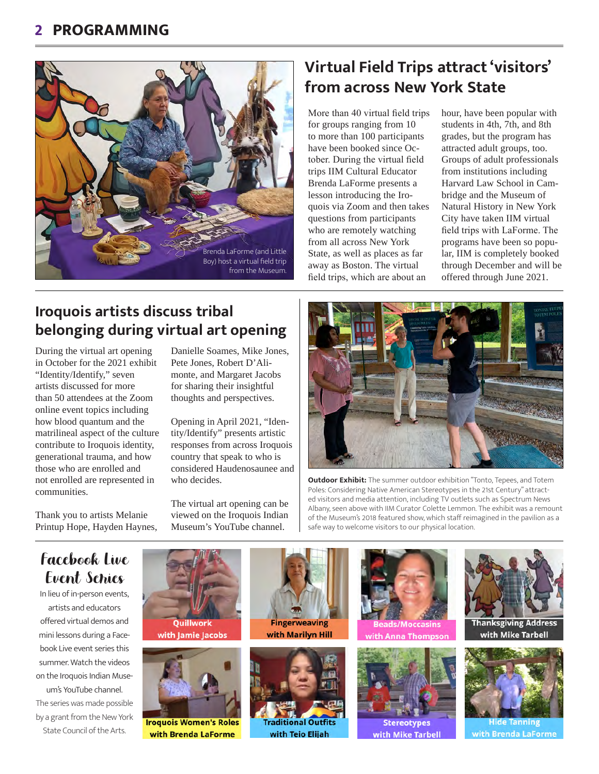

## **Virtual Field Trips attract 'visitors' from across New York State**

More than 40 virtual field trips for groups ranging from 10 to more than 100 participants have been booked since October. During the virtual field trips IIM Cultural Educator Brenda LaForme presents a lesson introducing the Iroquois via Zoom and then takes questions from participants who are remotely watching from all across New York State, as well as places as far away as Boston. The virtual field trips, which are about an

hour, have been popular with students in 4th, 7th, and 8th grades, but the program has attracted adult groups, too. Groups of adult professionals from institutions including Harvard Law School in Cambridge and the Museum of Natural History in New York City have taken IIM virtual field trips with LaForme. The programs have been so popular, IIM is completely booked through December and will be offered through June 2021.

### **Iroquois artists discuss tribal belonging during virtual art opening**

During the virtual art opening in October for the 2021 exhibit "Identity/Identify," seven artists discussed for more than 50 attendees at the Zoom online event topics including how blood quantum and the matrilineal aspect of the culture contribute to Iroquois identity, generational trauma, and how those who are enrolled and not enrolled are represented in communities.

Thank you to artists Melanie Printup Hope, Hayden Haynes, Danielle Soames, Mike Jones, Pete Jones, Robert D'Alimonte, and Margaret Jacobs for sharing their insightful thoughts and perspectives.

Opening in April 2021, "Identity/Identify" presents artistic responses from across Iroquois country that speak to who is considered Haudenosaunee and who decides.

The virtual art opening can be viewed on the Iroquois Indian Museum's YouTube channel.



**Outdoor Exhibit:** The summer outdoor exhibition "Tonto, Tepees, and Totem Poles: Considering Native American Stereotypes in the 21st Century" attracted visitors and media attention, including TV outlets such as Spectrum News Albany, seen above with IIM Curator Colette Lemmon. The exhibit was a remount of the Museum's 2018 featured show, which staff reimagined in the pavilion as a safe way to welcome visitors to our physical location.

## Facebook Live Event Series

In lieu of in-person events, artists and educators offered virtual demos and mini lessons during a Facebook Live event series this summer. Watch the videos on the Iroquois Indian Museum's YouTube channel. The series was made possible by a grant from the New York State Council of the Arts.





**Iroquois Women's Roles** with Brenda LaForme





with Teio Elijah





with Mike Tarbell



with Mike Tarbell



**Hide Tanning** with Brenda LaForme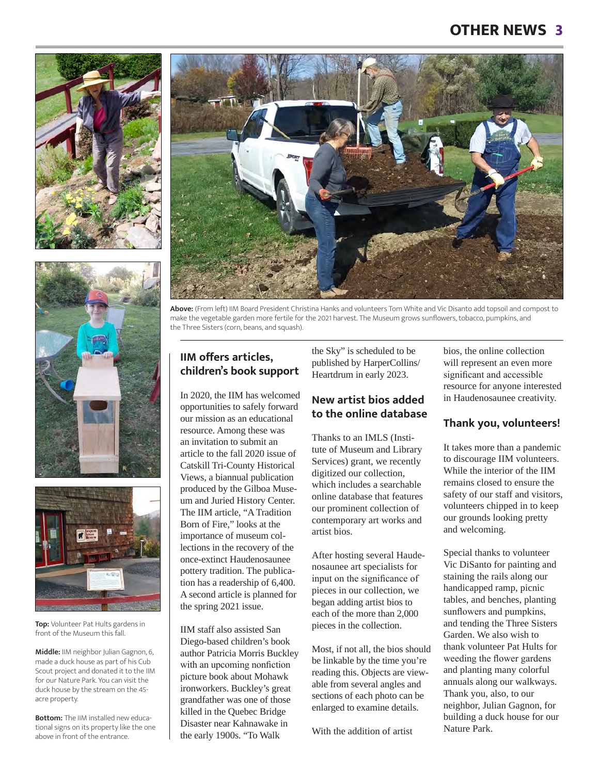





**Top:** Volunteer Pat Hults gardens in front of the Museum this fall.

**Middle:** IIM neighbor Julian Gagnon, 6, made a duck house as part of his Cub Scout project and donated it to the IIM for our Nature Park. You can visit the duck house by the stream on the 45 acre property.

**Bottom:** The IIM installed new educational signs on its property like the one above in front of the entrance.



**Above:** (From left) IIM Board President Christina Hanks and volunteers Tom White and Vic Disanto add topsoil and compost to make the vegetable garden more fertile for the 2021 harvest. The Museum grows sunflowers, tobacco, pumpkins, and the Three Sisters (corn, beans, and squash).

#### **IIM offers articles, children's book support**

In 2020, the IIM has welcomed opportunities to safely forward our mission as an educational resource. Among these was an invitation to submit an article to the fall 2020 issue of Catskill Tri-County Historical Views, a biannual publication produced by the Gilboa Museum and Juried History Center. The IIM article, "A Tradition Born of Fire," looks at the importance of museum collections in the recovery of the once-extinct Haudenosaunee pottery tradition. The publication has a readership of 6,400. A second article is planned for the spring 2021 issue.

IIM staff also assisted San Diego-based children's book author Patricia Morris Buckley with an upcoming nonfiction picture book about Mohawk ironworkers. Buckley's great grandfather was one of those killed in the Quebec Bridge Disaster near Kahnawake in the early 1900s. "To Walk

the Sky" is scheduled to be published by HarperCollins/ Heartdrum in early 2023.

#### **New artist bios added to the online database**

Thanks to an IMLS (Institute of Museum and Library Services) grant, we recently digitized our collection, which includes a searchable online database that features our prominent collection of contemporary art works and artist bios.

After hosting several Haudenosaunee art specialists for input on the significance of pieces in our collection, we began adding artist bios to each of the more than 2,000 pieces in the collection.

Most, if not all, the bios should be linkable by the time you're reading this. Objects are viewable from several angles and sections of each photo can be enlarged to examine details.

With the addition of artist

bios, the online collection will represent an even more significant and accessible resource for anyone interested in Haudenosaunee creativity.

#### **Thank you, volunteers!**

It takes more than a pandemic to discourage IIM volunteers. While the interior of the IIM remains closed to ensure the safety of our staff and visitors, volunteers chipped in to keep our grounds looking pretty and welcoming.

Special thanks to volunteer Vic DiSanto for painting and staining the rails along our handicapped ramp, picnic tables, and benches, planting sunflowers and pumpkins, and tending the Three Sisters Garden. We also wish to thank volunteer Pat Hults for weeding the flower gardens and planting many colorful annuals along our walkways. Thank you, also, to our neighbor, Julian Gagnon, for building a duck house for our Nature Park.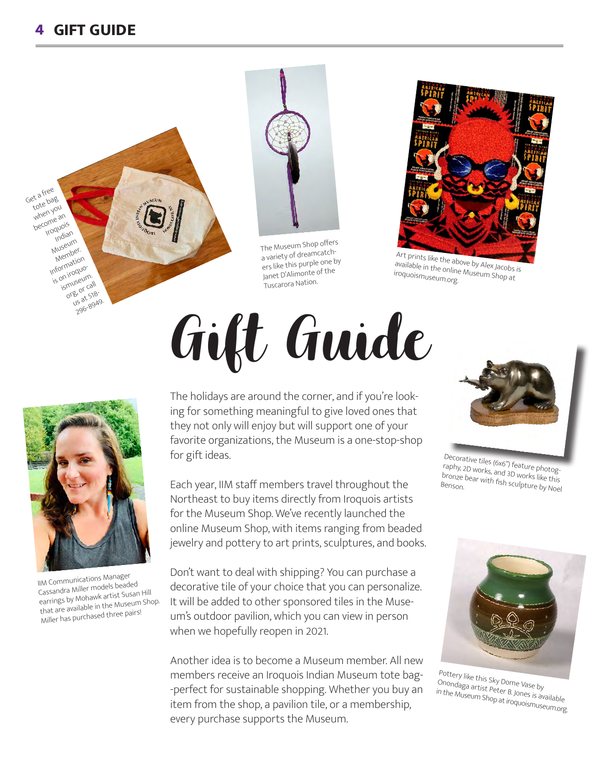## **GIFT GUIDE 4**





The Museum Shop offers a variety of dreamcatchers like this purple one by Janet D'Alimonte of the Tuscarora Nation.



Art prints like the above by Alex Jacobs is available in the online Museum Shop at iroquoismuseum.org.



IIM Communications Manager Cassandra Miller models beaded earrings by Mohawk artist Susan Hill that are available in the Museum Shop. Miller has purchased three pairs!

# Gift Guide

The holidays are around the corner, and if you're looking for something meaningful to give loved ones that they not only will enjoy but will support one of your favorite organizations, the Museum is a one-stop-shop for gift ideas.

Each year, IIM staff members travel throughout the Northeast to buy items directly from Iroquois artists for the Museum Shop. We've recently launched the online Museum Shop, with items ranging from beaded jewelry and pottery to art prints, sculptures, and books.

Don't want to deal with shipping? You can purchase a decorative tile of your choice that you can personalize. It will be added to other sponsored tiles in the Museum's outdoor pavilion, which you can view in person when we hopefully reopen in 2021.

Another idea is to become a Museum member. All new members receive an Iroquois Indian Museum tote bag- -perfect for sustainable shopping. Whether you buy an item from the shop, a pavilion tile, or a membership, every purchase supports the Museum.



Decorative tiles (6x6") feature photography, 2D works, and 3D works like this bronze bear with fish sculpture by Noel<br>Benson.



Pottery like this Sky Dome Vase by Onondaga artist Peter B. Jones is available in the Museum Shop at iroquoismuseum.org.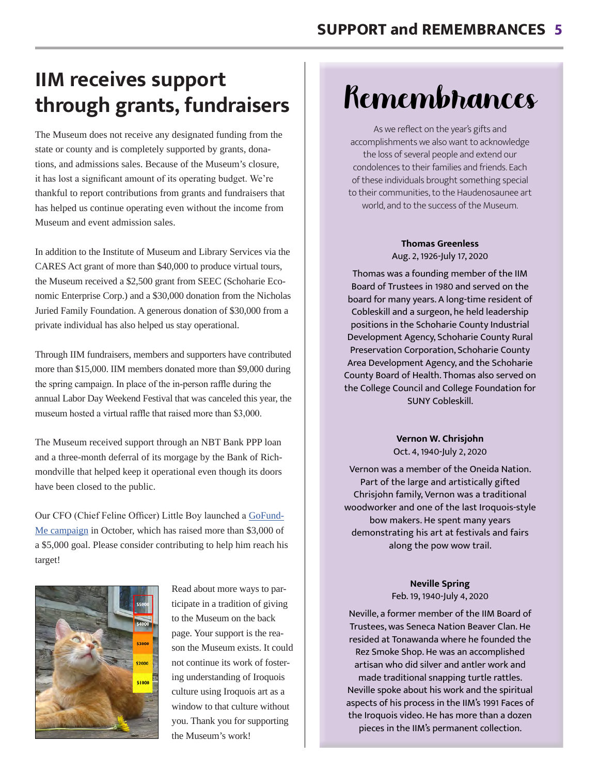# **IIM receives support through grants, fundraisers**

The Museum does not receive any designated funding from the state or county and is completely supported by grants, donations, and admissions sales. Because of the Museum's closure, it has lost a significant amount of its operating budget. We're thankful to report contributions from grants and fundraisers that has helped us continue operating even without the income from Museum and event admission sales.

In addition to the Institute of Museum and Library Services via the CARES Act grant of more than \$40,000 to produce virtual tours, the Museum received a \$2,500 grant from SEEC (Schoharie Economic Enterprise Corp.) and a \$30,000 donation from the Nicholas Juried Family Foundation. A generous donation of \$30,000 from a private individual has also helped us stay operational.

Through IIM fundraisers, members and supporters have contributed more than \$15,000. IIM members donated more than \$9,000 during the spring campaign. In place of the in-person raffle during the annual Labor Day Weekend Festival that was canceled this year, the museum hosted a virtual raffle that raised more than \$3,000.

The Museum received support through an NBT Bank PPP loan and a three-month deferral of its morgage by the Bank of Richmondville that helped keep it operational even though its doors have been closed to the public.

Our CFO (Chief Feline Officer) Little Boy launched a GoFund-Me campaign in October, which has raised more than \$3,000 of a \$5,000 goal. Please consider contributing to help him reach his target!



Read about more ways to participate in a tradition of giving to the Museum on the back page. Your support is the reason the Museum exists. It could not continue its work of fostering understanding of Iroquois culture using Iroquois art as a window to that culture without you. Thank you for supporting the Museum's work!

# Remembrances

As we reflect on the year's gifts and accomplishments we also want to acknowledge the loss of several people and extend our condolences to their families and friends. Each of these individuals brought something special to their communities, to the Haudenosaunee art world, and to the success of the Museum.

#### **Thomas Greenless**  Aug. 2, 1926-July 17, 2020

Thomas was a founding member of the IIM Board of Trustees in 1980 and served on the board for many years. A long-time resident of Cobleskill and a surgeon, he held leadership positions in the Schoharie County Industrial Development Agency, Schoharie County Rural Preservation Corporation, Schoharie County Area Development Agency, and the Schoharie County Board of Health. Thomas also served on the College Council and College Foundation for SUNY Cobleskill.

> **Vernon W. Chrisjohn** Oct. 4, 1940-July 2, 2020

Vernon was a member of the Oneida Nation. Part of the large and artistically gifted Chrisjohn family, Vernon was a traditional woodworker and one of the last Iroquois-style bow makers. He spent many years demonstrating his art at festivals and fairs along the pow wow trail.

#### **Neville Spring**  Feb. 19, 1940-July 4, 2020

Neville, a former member of the IIM Board of Trustees, was Seneca Nation Beaver Clan. He resided at Tonawanda where he founded the Rez Smoke Shop. He was an accomplished artisan who did silver and antler work and made traditional snapping turtle rattles. Neville spoke about his work and the spiritual aspects of his process in the IIM's 1991 Faces of the Iroquois video. He has more than a dozen pieces in the IIM's permanent collection.